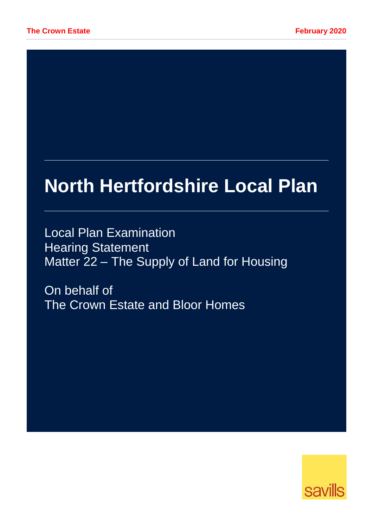# **North Hertfordshire Local Plan**

Local Plan Examination Hearing Statement Matter 22 – The Supply of Land for Housing

On behalf of The Crown Estate and Bloor Homes

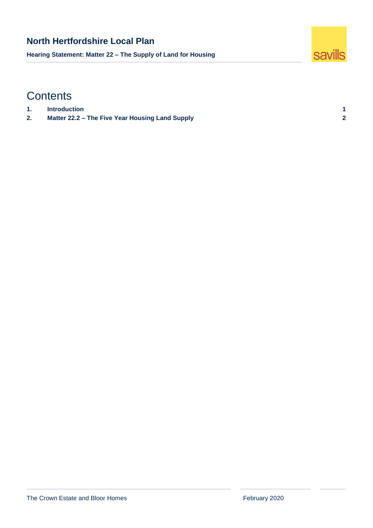### **North Hertfordshire Local Plan**

**Hearing Statement: Matter 22 – The Supply of Land for Housing**



## **Contents**

- **1. [Introduction](#page-2-0) 1**
- **2. Matter 22.2 – [The Five Year Housing Land Supply](#page-3-0) 2**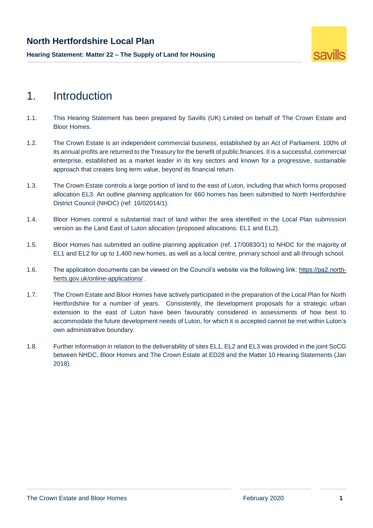#### **North Hertfordshire Local Plan**

**Hearing Statement: Matter 22 – The Supply of Land for Housing**

## <span id="page-2-0"></span>1. Introduction

- 1.1. This Hearing Statement has been prepared by Savills (UK) Limited on behalf of The Crown Estate and Bloor Homes.
- 1.2. The Crown Estate is an independent commercial business, established by an Act of Parliament. 100% of its annual profits are returned to the Treasury for the benefit of public finances. It is a successful, commercial enterprise, established as a market leader in its key sectors and known for a progressive, sustainable approach that creates long term value, beyond its financial return.
- 1.3. The Crown Estate controls a large portion of land to the east of Luton, including that which forms proposed allocation EL3. An outline planning application for 660 homes has been submitted to North Hertfordshire District Council (NHDC) (ref: 16/02014/1).
- 1.4. Bloor Homes control a substantial tract of land within the area identified in the Local Plan submission version as the Land East of Luton allocation (proposed allocations: EL1 and EL2).
- 1.5. Bloor Homes has submitted an outline planning application (ref. 17/00830/1) to NHDC for the majority of EL1 and EL2 for up to 1,400 new homes, as well as a local centre, primary school and all-through school.
- 1.6. The application documents can be viewed on the Council's website via the following link: [https://pa2.north](https://pa2.north-herts.gov.uk/online-applications/)[herts.gov.uk/online-applications/](https://pa2.north-herts.gov.uk/online-applications/) .
- 1.7. The Crown Estate and Bloor Homes have actively participated in the preparation of the Local Plan for North Hertfordshire for a number of years. Consistently, the development proposals for a strategic urban extension to the east of Luton have been favourably considered in assessments of how best to accommodate the future development needs of Luton, for which it is accepted cannot be met within Luton's own administrative boundary.
- 1.8. Further information in relation to the deliverability of sites EL1, EL2 and EL3 was provided in the joint SoCG between NHDC, Bloor Homes and The Crown Estate at ED28 and the Matter 10 Hearing Statements (Jan 2018).

savills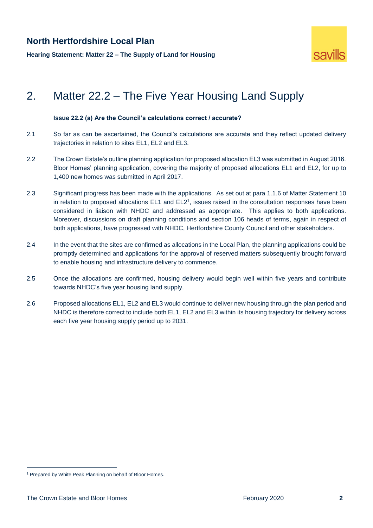

**Hearing Statement: Matter 22 – The Supply of Land for Housing**

## <span id="page-3-0"></span>2. Matter 22.2 – The Five Year Housing Land Supply

#### **Issue 22.2 (a) Are the Council's calculations correct / accurate?**

- 2.1 So far as can be ascertained, the Council's calculations are accurate and they reflect updated delivery trajectories in relation to sites EL1, EL2 and EL3.
- 2.2 The Crown Estate's outline planning application for proposed allocation EL3 was submitted in August 2016. Bloor Homes' planning application, covering the majority of proposed allocations EL1 and EL2, for up to 1,400 new homes was submitted in April 2017.
- 2.3 Significant progress has been made with the applications. As set out at para 1.1.6 of Matter Statement 10 in relation to proposed allocations EL1 and EL2<sup>1</sup> , issues raised in the consultation responses have been considered in liaison with NHDC and addressed as appropriate. This applies to both applications. Moreover, discussions on draft planning conditions and section 106 heads of terms, again in respect of both applications, have progressed with NHDC, Hertfordshire County Council and other stakeholders.
- 2.4 In the event that the sites are confirmed as allocations in the Local Plan, the planning applications could be promptly determined and applications for the approval of reserved matters subsequently brought forward to enable housing and infrastructure delivery to commence.
- 2.5 Once the allocations are confirmed, housing delivery would begin well within five years and contribute towards NHDC's five year housing land supply.
- 2.6 Proposed allocations EL1, EL2 and EL3 would continue to deliver new housing through the plan period and NHDC is therefore correct to include both EL1, EL2 and EL3 within its housing trajectory for delivery across each five year housing supply period up to 2031.

 $\overline{a}$ 

<sup>&</sup>lt;sup>1</sup> Prepared by White Peak Planning on behalf of Bloor Homes.